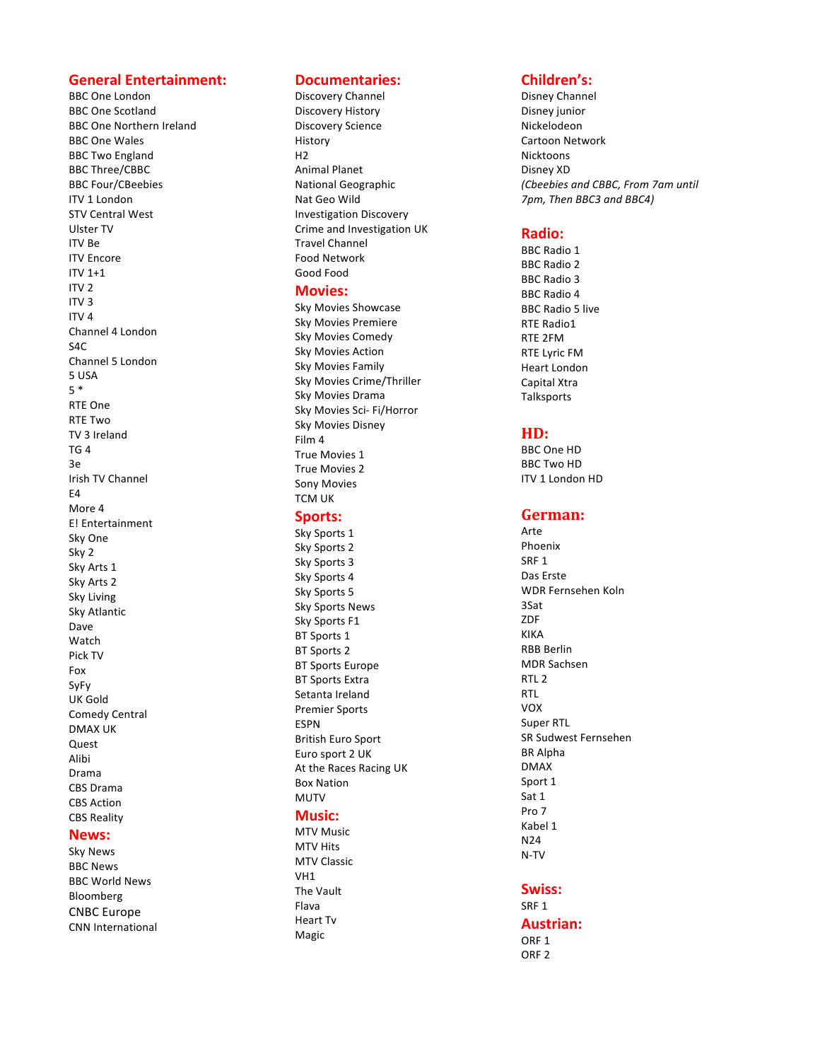# **General Entertainment:**

**BBC** One London BBC One Scotland **BBC** One Northern Ireland **BBC** One Wales **BBC Two England BBC** Three/CBBC **BBC** Four/CBeebies **ITV 1 London STV Central West** Ulster TV ITV Be **ITV** Encore  $IV1+1$ ITV<sub>2</sub> ITV 3  $ITV<sub>4</sub>$ Channel 4 London  $S_{\text{A}}$ C Channel 5 London 5 USA 5 \* RTE One **RTE Two** TV 3 Ireland  $TG<sub>4</sub>$ 3e Irish TV Channel E4 More 4 E! Entertainment Sky One Sky 2 Sky Arts 1 Sky Arts 2 Sky Living Sky Atlantic Dave Watch Pick TV Fox SyFy UK Gold Comedy Central DMAX UK Quest Alibi Drama CBS Drama **CBS** Action **CBS** Reality

# **News:**

Sky News BBC News **BBC** World News Bloomberg CNBC Europe CNN International

# **Documentaries:**

Discovery Channel Discovery History Discovery Science History H<sub>2</sub> Animal Planet National Geographic Nat Geo Wild Investigation Discovery Crime and Investigation UK Travel Channel Food Network Good Food

# **Movies:**

Sky Movies Showcase Sky Movies Premiere Sky Movies Comedy **Sky Movies Action** Sky Movies Family Sky Movies Crime/Thriller Sky Movies Drama Sky Movies Sci- Fi/Horror Sky Movies Disney Film 4 True Movies 1 True Movies 2 Sony Movies TCM UK

# **Sports:**

Sky Sports 1 Sky Sports 2 Sky Sports 3 Sky Sports 4 Sky Sports 5 **Sky Sports News** Sky Sports F1 **BT** Sports 1 **BT** Sports 2 **BT** Sports Europe **BT** Sports Extra Setanta Ireland Premier Sports ESPN British Euro Sport Euro sport 2 UK At the Races Racing UK Box Nation MUTV

# **Music:**

**MTV Music MTV Hits MTV Classic** VH1 The Vault Flava **Heart Tv** Magic 

# **Children's:**

Disney Channel Disney junior Nickelodeon Cartoon Network Nicktoons Disney XD *(Cbeebies and CBBC, From 7am until*  7pm, Then BBC3 and BBC4)

## **Radio:**

**BBC** Radio 1 BBC Radio 2 **BBC** Radio 3 **BBC** Radio 4 BBC Radio 5 live **RTE Radio1** RTE 2FM **RTE Lyric FM Heart London** Capital Xtra **Talksports** 

# **HD:**

BBC One HD **BBC** Two HD **ITV 1 London HD** 

# German:

Arte Phoenix SRF<sub>1</sub> Das Erste WDR Fernsehen Koln 3Sat ZDF KIKA RBB Berlin MDR Sachsen RTL<sub>2</sub> RTL VOX Super RTL SR Sudwest Fernsehen BR Alpha DMAX Sport 1 Sat 1 Pro 7 Kabel 1 N24 N-TV

### **Swiss:**

SRF 1 **Austrian:** ORF<sub>1</sub> ORF<sub>2</sub>